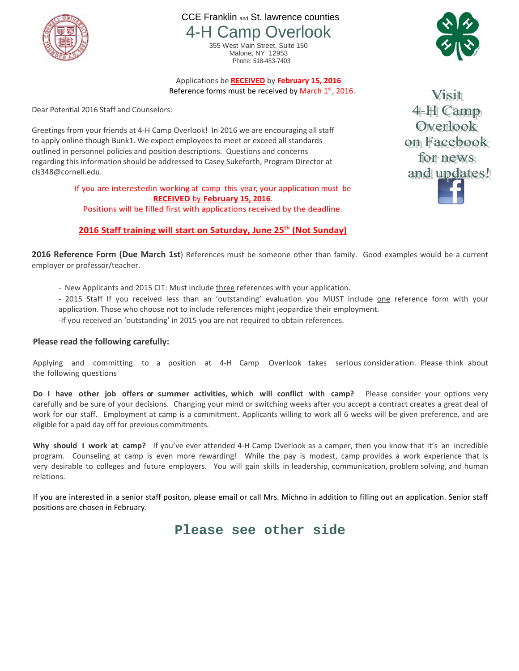

CCE Franklin and St. lawrence counties 4-H Camp Overlook

> 355 West Main Street, Suite 150 Malone, NY 12953 Phone: 518-483-7403



Applications be **RECEIVED** by **February 15, 2016**

Reference forms must be received by March  $1<sup>st</sup>$ , 2016.

Dear Potential 2016 Staff and Counselors:

Greetings from your friends at 4-H Camp Overlook! In 2016 we are encouraging all staff to apply online though Bunk1. We expect employeesto meet or exceed all standards outlined in personnel policies and position descriptions. Questions and concerns regarding this information should be addressed to Casey Sukeforth, Program Director at cls348@cornell.edu.

> If you are interestedin working at camp this year, your application must be **RECEIVED** by **February 15, 2016**.

Positions will be filled first with applications received by the deadline.

## **2016 Staff training will start on Saturday, June 25th (Not Sunday)**

**2016 Reference Form (Due March 1st**) References must be someone other than family. Good examples would be a current employer or professor/teacher.

- New Applicants and 2015 CIT: Must include three references with your application.

- 2015 Staff If you received less than an 'outstanding' evaluation you MUST include one reference form with your application. Those who choose not to include references might jeopardize their employment. -If you received an 'outstanding' in 2015 you are not required to obtain references.

## **Please read the following carefully:**

Applying and committing to a position at 4-H Camp Overlook takes serious consideration. Please think about the following questions

**Do I have other job offers or summer activities, which will conflict with camp?** Please consider your options very carefully and be sure of your decisions. Changing your mind or switching weeks after you accept a contract creates a great deal of work for our staff. Employment at camp is a commitment. Applicants willing to work all 6 weeks will be given preference, and are eligible for a paid day off for previous commitments.

**Why should I work at camp?** If you've ever attended 4-H Camp Overlook as a camper, then you know that it's an incredible program. Counseling at camp is even more rewarding! While the pay is modest, camp provides a work experience that is very desirable to colleges and future employers. You will gain skills in leadership, communication, problem solving, and human relations.

If you are interested in a senior staff positon, please email or call Mrs. Michno in addition to filling out an application. Senior staff positions are chosen in February.

**Please see other side**